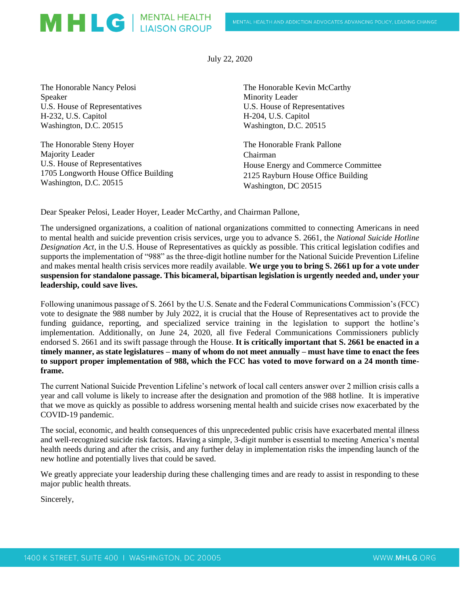July 22, 2020

The Honorable Nancy Pelosi Speaker U.S. House of Representatives H-232, U.S. Capitol Washington, D.C. 20515

The Honorable Steny Hoyer Majority Leader U.S. House of Representatives 1705 Longworth House Office Building Washington, D.C. 20515

MHLG | MENTAL HEALTH

The Honorable Kevin McCarthy Minority Leader U.S. House of Representatives H-204, U.S. Capitol Washington, D.C. 20515

The Honorable Frank Pallone Chairman House Energy and Commerce Committee 2125 Rayburn House Office Building Washington, DC 20515

Dear Speaker Pelosi, Leader Hoyer, Leader McCarthy, and Chairman Pallone,

The undersigned organizations, a coalition of national organizations committed to connecting Americans in need to mental health and suicide prevention crisis services, urge you to advance S. 2661, the *National Suicide Hotline Designation Act,* in the U.S. House of Representatives as quickly as possible. This critical legislation codifies and supports the implementation of "988" as the three-digit hotline number for the National Suicide Prevention Lifeline and makes mental health crisis services more readily available. **We urge you to bring S. 2661 up for a vote under suspension for standalone passage. This bicameral, bipartisan legislation is urgently needed and, under your leadership, could save lives.**

Following unanimous passage of S. 2661 by the U.S. Senate and the Federal Communications Commission's (FCC) vote to designate the 988 number by July 2022, it is crucial that the House of Representatives act to provide the funding guidance, reporting, and specialized service training in the legislation to support the hotline's implementation. Additionally, on June 24, 2020, all five Federal Communications Commissioners publicly endorsed S. 2661 and its swift passage through the House. **It is critically important that S. 2661 be enacted in a timely manner, as state legislatures – many of whom do not meet annually – must have time to enact the fees to support proper implementation of 988, which the FCC has voted to move forward on a 24 month timeframe.**

The current National Suicide Prevention Lifeline's network of local call centers answer over 2 million crisis calls a year and call volume is likely to increase after the designation and promotion of the 988 hotline. It is imperative that we move as quickly as possible to address worsening mental health and suicide crises now exacerbated by the COVID-19 pandemic.

The social, economic, and health consequences of this unprecedented public crisis have exacerbated mental illness and well-recognized suicide risk factors. Having a simple, 3-digit number is essential to meeting America's mental health needs during and after the crisis, and any further delay in implementation risks the impending launch of the new hotline and potentially lives that could be saved.

We greatly appreciate your leadership during these challenging times and are ready to assist in responding to these major public health threats.

Sincerely,